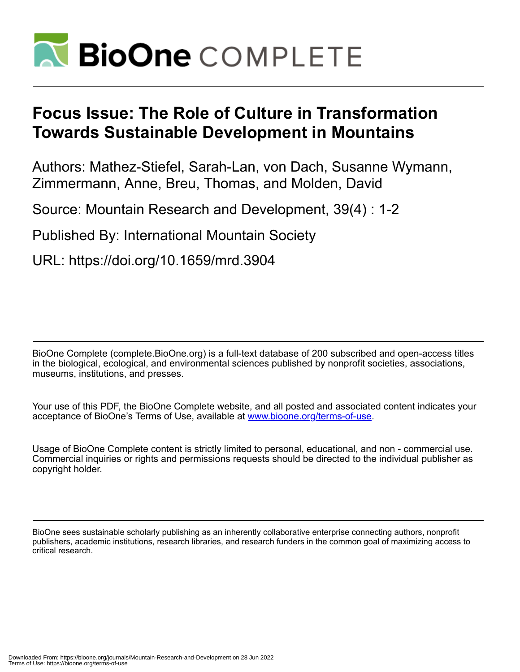

# **Focus Issue: The Role of Culture in Transformation Towards Sustainable Development in Mountains**

Authors: Mathez-Stiefel, Sarah-Lan, von Dach, Susanne Wymann, Zimmermann, Anne, Breu, Thomas, and Molden, David

Source: Mountain Research and Development, 39(4) : 1-2

Published By: International Mountain Society

URL: https://doi.org/10.1659/mrd.3904

BioOne Complete (complete.BioOne.org) is a full-text database of 200 subscribed and open-access titles in the biological, ecological, and environmental sciences published by nonprofit societies, associations, museums, institutions, and presses.

Your use of this PDF, the BioOne Complete website, and all posted and associated content indicates your acceptance of BioOne's Terms of Use, available at www.bioone.org/terms-of-use.

Usage of BioOne Complete content is strictly limited to personal, educational, and non - commercial use. Commercial inquiries or rights and permissions requests should be directed to the individual publisher as copyright holder.

BioOne sees sustainable scholarly publishing as an inherently collaborative enterprise connecting authors, nonprofit publishers, academic institutions, research libraries, and research funders in the common goal of maximizing access to critical research.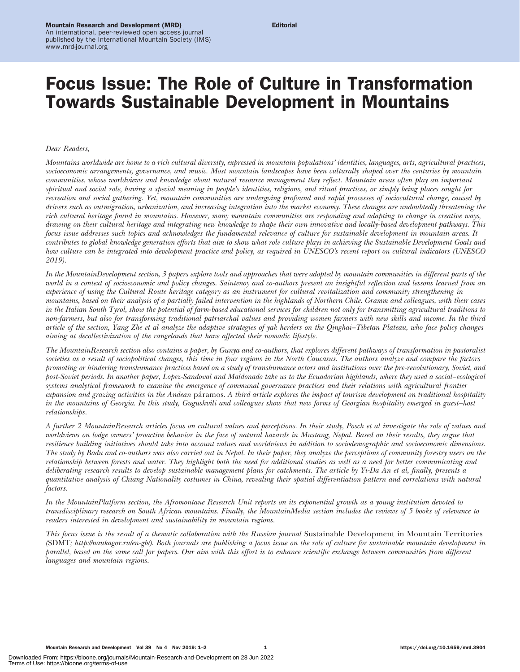# Focus Issue: The Role of Culture in Transformation Towards Sustainable Development in Mountains

## Dear Readers,

Mountains worldwide are home to a rich cultural diversity, expressed in mountain populations' identities, languages, arts, agricultural practices, socioeconomic arrangements, governance, and music. Most mountain landscapes have been culturally shaped over the centuries by mountain communities, whose worldviews and knowledge about natural resource management they reflect. Mountain areas often play an important spiritual and social role, having a special meaning in people's identities, religions, and ritual practices, or simply being places sought for recreation and social gathering. Yet, mountain communities are undergoing profound and rapid processes of sociocultural change, caused by drivers such as outmigration, urbanization, and increasing integration into the market economy. These changes are undoubtedly threatening the rich cultural heritage found in mountains. However, many mountain communities are responding and adapting to change in creative ways, drawing on their cultural heritage and integrating new knowledge to shape their own innovative and locally-based development pathways. This focus issue addresses such topics and acknowledges the fundamental relevance of culture for sustainable development in mountain areas. It contributes to global knowledge generation efforts that aim to show what role culture plays in achieving the Sustainable Development Goals and how culture can be integrated into development practice and policy, as required in UNESCO's recent report on cultural indicators (UNESCO 2019).

In the MountainDevelopment section, 3 papers explore tools and approaches that were adopted by mountain communities in different parts of the world in a context of socioeconomic and policy changes. Saintenoy and co-authors present an insightful reflection and lessons learned from an experience of using the Cultural Route heritage category as an instrument for cultural revitalization and community strengthening in mountains, based on their analysis of a partially failed intervention in the highlands of Northern Chile. Gramm and colleagues, with their cases in the Italian South Tyrol, show the potential of farm-based educational services for children not only for transmitting agricultural traditions to non-farmers, but also for transforming traditional patriarchal values and providing women farmers with new skills and income. In the third article of the section, Yang Zhe et al analyze the adaptive strategies of yak herders on the Qinghai–Tibetan Plateau, who face policy changes aiming at decollectivization of the rangelands that have affected their nomadic lifestyle.

The MountainResearch section also contains a paper, by Gunya and co-authors, that explores different pathways of transformation in pastoralist societies as a result of sociopolitical changes, this time in four regions in the North Caucasus. The authors analyze and compare the factors promoting or hindering transhumance practices based on a study of transhumance actors and institutions over the pre-revolutionary, Soviet, and post-Soviet periods. In another paper, Lopez-Sandoval and Maldonado take us to the Ecuadorian highlands, where they used a social–ecological systems analytical framework to examine the emergence of communal governance practices and their relations with agricultural frontier expansion and grazing activities in the Andean páramos. A third article explores the impact of tourism development on traditional hospitality in the mountains of Georgia. In this study, Gugushvili and colleagues show that new forms of Georgian hospitality emerged in guest–host relationships.

A further 2 MountainResearch articles focus on cultural values and perceptions. In their study, Posch et al investigate the role of values and worldviews on lodge owners' proactive behavior in the face of natural hazards in Mustang, Nepal. Based on their results, they argue that resilience building initiatives should take into account values and worldviews in addition to sociodemographic and socioeconomic dimensions. The study by Badu and co-authors was also carried out in Nepal. In their paper, they analyze the perceptions of community forestry users on the relationship between forests and water. They highlight both the need for additional studies as well as a need for better communicating and deliberating research results to develop sustainable management plans for catchments. The article by Yi-Da An et al, finally, presents a quantitative analysis of Chiang Nationality costumes in China, revealing their spatial differentiation pattern and correlations with natural factors.

In the MountainPlatform section, the Afromontane Research Unit reports on its exponential growth as a young institution devoted to transdisciplinary research on South African mountains. Finally, the MountainMedia section includes the reviews of 5 books of relevance to readers interested in development and sustainability in mountain regions.

This focus issue is the result of a thematic collaboration with the Russian journal Sustainable Development in Mountain Territories (SDMT;<http://naukagor.ru/en-gb/>). Both journals are publishing a focus issue on the role of culture for sustainable mountain development in parallel, based on the same call for papers. Our aim with this effort is to enhance scientific exchange between communities from different languages and mountain regions.